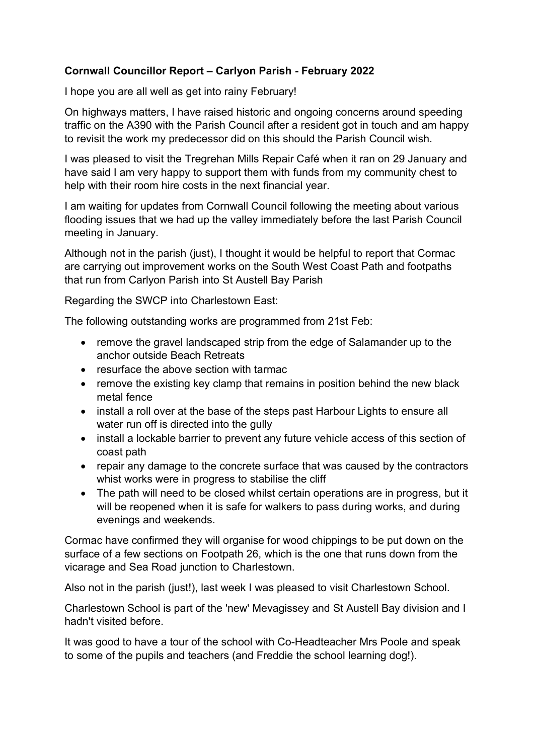## Cornwall Councillor Report – Carlyon Parish - February 2022

I hope you are all well as get into rainy February!

On highways matters, I have raised historic and ongoing concerns around speeding traffic on the A390 with the Parish Council after a resident got in touch and am happy to revisit the work my predecessor did on this should the Parish Council wish.

I was pleased to visit the Tregrehan Mills Repair Café when it ran on 29 January and have said I am very happy to support them with funds from my community chest to help with their room hire costs in the next financial year.

I am waiting for updates from Cornwall Council following the meeting about various flooding issues that we had up the valley immediately before the last Parish Council meeting in January.

Although not in the parish (just), I thought it would be helpful to report that Cormac are carrying out improvement works on the South West Coast Path and footpaths that run from Carlyon Parish into St Austell Bay Parish

Regarding the SWCP into Charlestown East:

The following outstanding works are programmed from 21st Feb:

- remove the gravel landscaped strip from the edge of Salamander up to the anchor outside Beach Retreats
- resurface the above section with tarmac
- remove the existing key clamp that remains in position behind the new black metal fence
- install a roll over at the base of the steps past Harbour Lights to ensure all water run off is directed into the gully
- install a lockable barrier to prevent any future vehicle access of this section of coast path
- repair any damage to the concrete surface that was caused by the contractors whist works were in progress to stabilise the cliff
- The path will need to be closed whilst certain operations are in progress, but it will be reopened when it is safe for walkers to pass during works, and during evenings and weekends.

Cormac have confirmed they will organise for wood chippings to be put down on the surface of a few sections on Footpath 26, which is the one that runs down from the vicarage and Sea Road junction to Charlestown.

Also not in the parish (just!), last week I was pleased to visit Charlestown School.

Charlestown School is part of the 'new' Mevagissey and St Austell Bay division and I hadn't visited before.

It was good to have a tour of the school with Co-Headteacher Mrs Poole and speak to some of the pupils and teachers (and Freddie the school learning dog!).